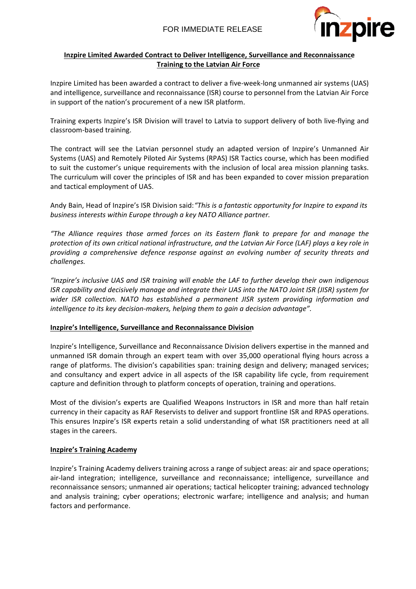

# **Inzpire Limited Awarded Contract to Deliver Intelligence, Surveillance and Reconnaissance Training to the Latvian Air Force**

Inzpire Limited has been awarded a contract to deliver a five-week-long unmanned air systems (UAS) and intelligence, surveillance and reconnaissance (ISR) course to personnel from the Latvian Air Force in support of the nation's procurement of a new ISR platform.

Training experts Inzpire's ISR Division will travel to Latvia to support delivery of both live-flying and classroom-based training.

The contract will see the Latvian personnel study an adapted version of Inzpire's Unmanned Air Systems (UAS) and Remotely Piloted Air Systems (RPAS) ISR Tactics course, which has been modified to suit the customer's unique requirements with the inclusion of local area mission planning tasks. The curriculum will cover the principles of ISR and has been expanded to cover mission preparation and tactical employment of UAS.

Andy Bain, Head of Inzpire's ISR Division said:*"This is a fantastic opportunity for Inzpire to expand its business interests within Europe through a key NATO Alliance partner.*

*"The Alliance requires those armed forces on its Eastern flank to prepare for and manage the protection of its own critical national infrastructure, and the Latvian Air Force (LAF) plays a key role in providing a comprehensive defence response against an evolving number of security threats and challenges.*

*"Inzpire's inclusive UAS and ISR training will enable the LAF to further develop their own indigenous ISR capability and decisively manage and integrate their UAS into the NATO Joint ISR (JISR) system for wider ISR collection. NATO has established a permanent JISR system providing information and intelligence to its key decision-makers, helping them to gain a decision advantage".*

### **Inzpire's Intelligence, Surveillance and Reconnaissance Division**

Inzpire's Intelligence, Surveillance and Reconnaissance Division delivers expertise in the manned and unmanned ISR domain through an expert team with over 35,000 operational flying hours across a range of platforms. The division's capabilities span: training design and delivery; managed services; and consultancy and expert advice in all aspects of the ISR capability life cycle, from requirement capture and definition through to platform concepts of operation, training and operations.

Most of the division's experts are Qualified Weapons Instructors in ISR and more than half retain currency in their capacity as RAF Reservists to deliver and support frontline ISR and RPAS operations. This ensures Inzpire's ISR experts retain a solid understanding of what ISR practitioners need at all stages in the careers.

# **Inzpire's Training Academy**

Inzpire's Training Academy delivers training across a range of subject areas: air and space operations; air-land integration; intelligence, surveillance and reconnaissance; intelligence, surveillance and reconnaissance sensors; unmanned air operations; tactical helicopter training; advanced technology and analysis training; cyber operations; electronic warfare; intelligence and analysis; and human factors and performance.